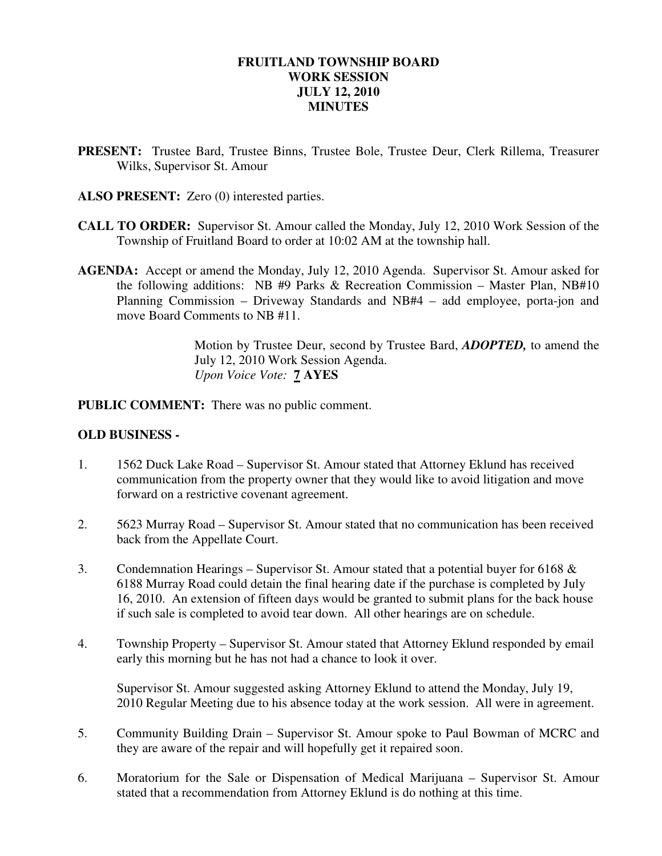### **FRUITLAND TOWNSHIP BOARD WORK SESSION JULY 12, 2010 MINUTES**

- **PRESENT:** Trustee Bard, Trustee Binns, Trustee Bole, Trustee Deur, Clerk Rillema, Treasurer Wilks, Supervisor St. Amour
- **ALSO PRESENT:** Zero (0) interested parties.
- **CALL TO ORDER:** Supervisor St. Amour called the Monday, July 12, 2010 Work Session of the Township of Fruitland Board to order at 10:02 AM at the township hall.
- **AGENDA:** Accept or amend the Monday, July 12, 2010 Agenda. Supervisor St. Amour asked for the following additions: NB #9 Parks & Recreation Commission – Master Plan, NB#10 Planning Commission – Driveway Standards and NB#4 – add employee, porta-jon and move Board Comments to NB #11.

Motion by Trustee Deur, second by Trustee Bard, *ADOPTED,* to amend the July 12, 2010 Work Session Agenda.  *Upon Voice Vote:* **7 AYES** 

**PUBLIC COMMENT:** There was no public comment.

#### **OLD BUSINESS -**

- 1. 1562 Duck Lake Road Supervisor St. Amour stated that Attorney Eklund has received communication from the property owner that they would like to avoid litigation and move forward on a restrictive covenant agreement.
- 2. 5623 Murray Road Supervisor St. Amour stated that no communication has been received back from the Appellate Court.
- 3. Condemnation Hearings Supervisor St. Amour stated that a potential buyer for 6168 & 6188 Murray Road could detain the final hearing date if the purchase is completed by July 16, 2010. An extension of fifteen days would be granted to submit plans for the back house if such sale is completed to avoid tear down. All other hearings are on schedule.
- 4. Township Property Supervisor St. Amour stated that Attorney Eklund responded by email early this morning but he has not had a chance to look it over.

Supervisor St. Amour suggested asking Attorney Eklund to attend the Monday, July 19, 2010 Regular Meeting due to his absence today at the work session. All were in agreement.

- 5. Community Building Drain Supervisor St. Amour spoke to Paul Bowman of MCRC and they are aware of the repair and will hopefully get it repaired soon.
- 6. Moratorium for the Sale or Dispensation of Medical Marijuana Supervisor St. Amour stated that a recommendation from Attorney Eklund is do nothing at this time.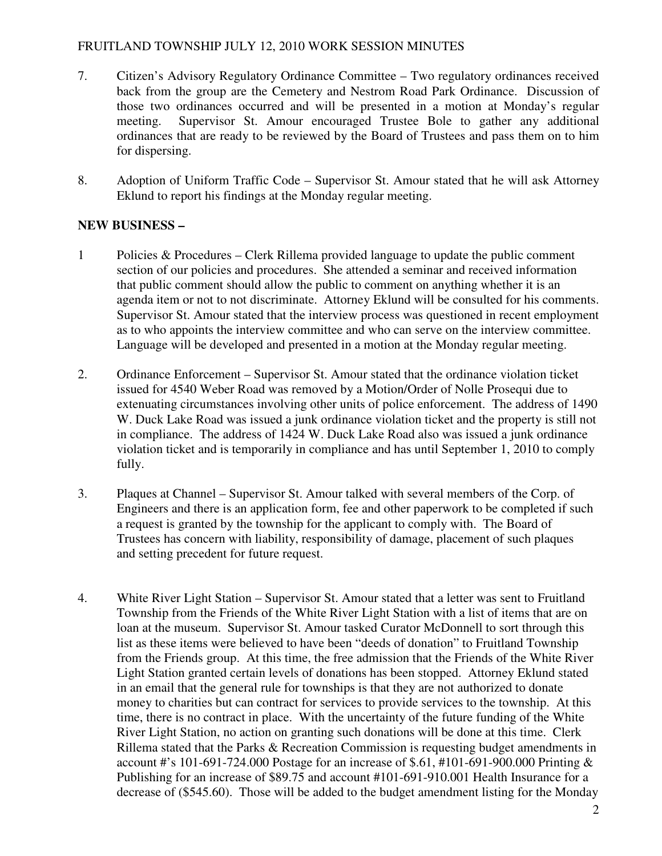# FRUITLAND TOWNSHIP JULY 12, 2010 WORK SESSION MINUTES

- 7. Citizen's Advisory Regulatory Ordinance Committee Two regulatory ordinances received back from the group are the Cemetery and Nestrom Road Park Ordinance. Discussion of those two ordinances occurred and will be presented in a motion at Monday's regular meeting. Supervisor St. Amour encouraged Trustee Bole to gather any additional ordinances that are ready to be reviewed by the Board of Trustees and pass them on to him for dispersing.
- 8. Adoption of Uniform Traffic Code Supervisor St. Amour stated that he will ask Attorney Eklund to report his findings at the Monday regular meeting.

# **NEW BUSINESS –**

- 1 Policies & Procedures Clerk Rillema provided language to update the public comment section of our policies and procedures. She attended a seminar and received information that public comment should allow the public to comment on anything whether it is an agenda item or not to not discriminate. Attorney Eklund will be consulted for his comments. Supervisor St. Amour stated that the interview process was questioned in recent employment as to who appoints the interview committee and who can serve on the interview committee. Language will be developed and presented in a motion at the Monday regular meeting.
- 2. Ordinance Enforcement Supervisor St. Amour stated that the ordinance violation ticket issued for 4540 Weber Road was removed by a Motion/Order of Nolle Prosequi due to extenuating circumstances involving other units of police enforcement. The address of 1490 W. Duck Lake Road was issued a junk ordinance violation ticket and the property is still not in compliance. The address of 1424 W. Duck Lake Road also was issued a junk ordinance violation ticket and is temporarily in compliance and has until September 1, 2010 to comply fully.
- 3. Plaques at Channel Supervisor St. Amour talked with several members of the Corp. of Engineers and there is an application form, fee and other paperwork to be completed if such a request is granted by the township for the applicant to comply with. The Board of Trustees has concern with liability, responsibility of damage, placement of such plaques and setting precedent for future request.
- 4. White River Light Station Supervisor St. Amour stated that a letter was sent to Fruitland Township from the Friends of the White River Light Station with a list of items that are on loan at the museum. Supervisor St. Amour tasked Curator McDonnell to sort through this list as these items were believed to have been "deeds of donation" to Fruitland Township from the Friends group. At this time, the free admission that the Friends of the White River Light Station granted certain levels of donations has been stopped. Attorney Eklund stated in an email that the general rule for townships is that they are not authorized to donate money to charities but can contract for services to provide services to the township. At this time, there is no contract in place. With the uncertainty of the future funding of the White River Light Station, no action on granting such donations will be done at this time. Clerk Rillema stated that the Parks & Recreation Commission is requesting budget amendments in account #'s 101-691-724.000 Postage for an increase of \$.61, #101-691-900.000 Printing & Publishing for an increase of \$89.75 and account #101-691-910.001 Health Insurance for a decrease of (\$545.60). Those will be added to the budget amendment listing for the Monday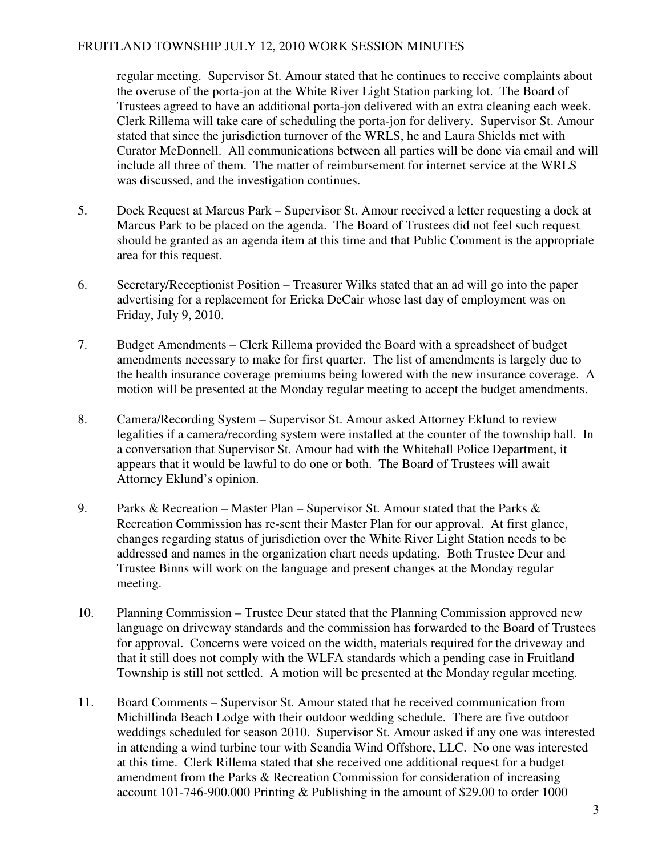### FRUITLAND TOWNSHIP JULY 12, 2010 WORK SESSION MINUTES

 regular meeting. Supervisor St. Amour stated that he continues to receive complaints about the overuse of the porta-jon at the White River Light Station parking lot. The Board of Trustees agreed to have an additional porta-jon delivered with an extra cleaning each week. Clerk Rillema will take care of scheduling the porta-jon for delivery. Supervisor St. Amour stated that since the jurisdiction turnover of the WRLS, he and Laura Shields met with Curator McDonnell. All communications between all parties will be done via email and will include all three of them. The matter of reimbursement for internet service at the WRLS was discussed, and the investigation continues.

- 5. Dock Request at Marcus Park Supervisor St. Amour received a letter requesting a dock at Marcus Park to be placed on the agenda. The Board of Trustees did not feel such request should be granted as an agenda item at this time and that Public Comment is the appropriate area for this request.
- 6. Secretary/Receptionist Position Treasurer Wilks stated that an ad will go into the paper advertising for a replacement for Ericka DeCair whose last day of employment was on Friday, July 9, 2010.
- 7. Budget Amendments Clerk Rillema provided the Board with a spreadsheet of budget amendments necessary to make for first quarter. The list of amendments is largely due to the health insurance coverage premiums being lowered with the new insurance coverage. A motion will be presented at the Monday regular meeting to accept the budget amendments.
- 8. Camera/Recording System Supervisor St. Amour asked Attorney Eklund to review legalities if a camera/recording system were installed at the counter of the township hall. In a conversation that Supervisor St. Amour had with the Whitehall Police Department, it appears that it would be lawful to do one or both. The Board of Trustees will await Attorney Eklund's opinion.
- 9. Parks & Recreation Master Plan Supervisor St. Amour stated that the Parks  $\&$  Recreation Commission has re-sent their Master Plan for our approval. At first glance, changes regarding status of jurisdiction over the White River Light Station needs to be addressed and names in the organization chart needs updating. Both Trustee Deur and Trustee Binns will work on the language and present changes at the Monday regular meeting.
- 10. Planning Commission Trustee Deur stated that the Planning Commission approved new language on driveway standards and the commission has forwarded to the Board of Trustees for approval. Concerns were voiced on the width, materials required for the driveway and that it still does not comply with the WLFA standards which a pending case in Fruitland Township is still not settled. A motion will be presented at the Monday regular meeting.
- 11. Board Comments Supervisor St. Amour stated that he received communication from Michillinda Beach Lodge with their outdoor wedding schedule. There are five outdoor weddings scheduled for season 2010. Supervisor St. Amour asked if any one was interested in attending a wind turbine tour with Scandia Wind Offshore, LLC. No one was interested at this time. Clerk Rillema stated that she received one additional request for a budget amendment from the Parks & Recreation Commission for consideration of increasing account 101-746-900.000 Printing & Publishing in the amount of \$29.00 to order 1000